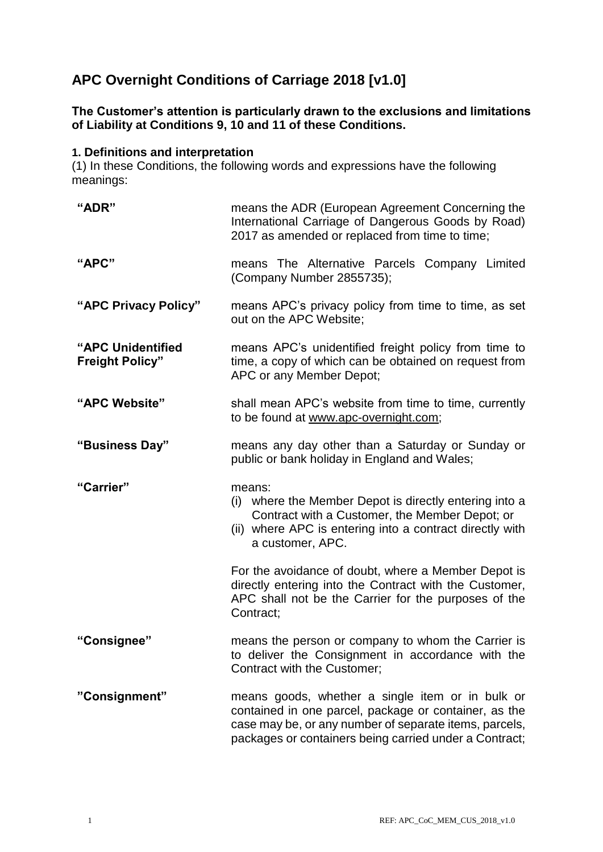# **APC Overnight Conditions of Carriage 2018 [v1.0]**

# **The Customer's attention is particularly drawn to the exclusions and limitations of Liability at Conditions 9, 10 and 11 of these Conditions.**

#### **1. Definitions and interpretation**

(1) In these Conditions, the following words and expressions have the following meanings:

| "ADR"                                       | means the ADR (European Agreement Concerning the<br>International Carriage of Dangerous Goods by Road)<br>2017 as amended or replaced from time to time;                                                                      |  |
|---------------------------------------------|-------------------------------------------------------------------------------------------------------------------------------------------------------------------------------------------------------------------------------|--|
| "APC"                                       | means The Alternative Parcels Company Limited<br>(Company Number 2855735);                                                                                                                                                    |  |
| "APC Privacy Policy"                        | means APC's privacy policy from time to time, as set<br>out on the APC Website;                                                                                                                                               |  |
| "APC Unidentified<br><b>Freight Policy"</b> | means APC's unidentified freight policy from time to<br>time, a copy of which can be obtained on request from<br>APC or any Member Depot;                                                                                     |  |
| "APC Website"                               | shall mean APC's website from time to time, currently<br>to be found at www.apc-overnight.com;                                                                                                                                |  |
| "Business Day"                              | means any day other than a Saturday or Sunday or<br>public or bank holiday in England and Wales;                                                                                                                              |  |
| "Carrier"                                   | means:<br>(i) where the Member Depot is directly entering into a<br>Contract with a Customer, the Member Depot; or<br>(ii) where APC is entering into a contract directly with<br>a customer, APC.                            |  |
|                                             | For the avoidance of doubt, where a Member Depot is<br>directly entering into the Contract with the Customer,<br>APC shall not be the Carrier for the purposes of the<br>Contract;                                            |  |
| "Consignee"                                 | means the person or company to whom the Carrier is<br>to deliver the Consignment in accordance with the<br>Contract with the Customer;                                                                                        |  |
| "Consignment"                               | means goods, whether a single item or in bulk or<br>contained in one parcel, package or container, as the<br>case may be, or any number of separate items, parcels,<br>packages or containers being carried under a Contract; |  |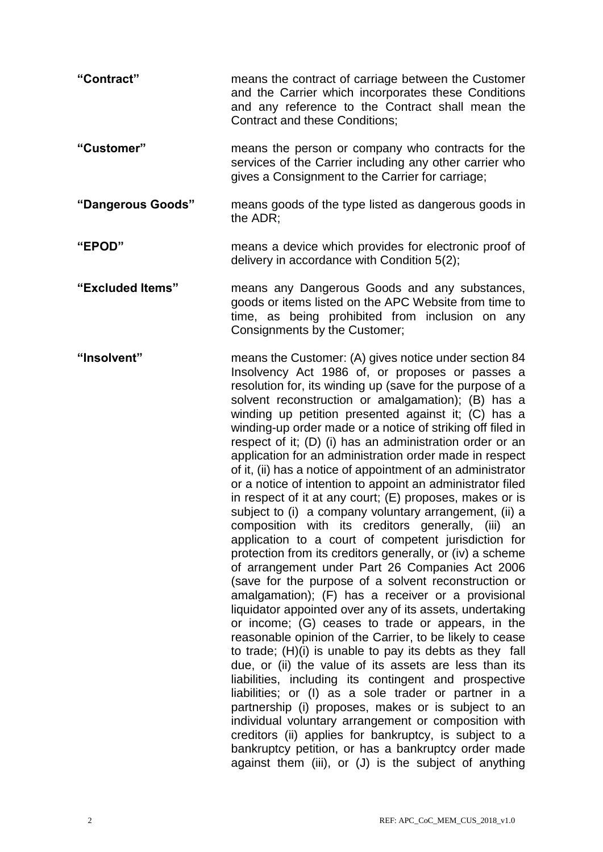| "Contract"        | means the contract of carriage between the Customer<br>and the Carrier which incorporates these Conditions<br>and any reference to the Contract shall mean the<br><b>Contract and these Conditions;</b>                                                                                                                                                                                                                                                                                                                                                                                                                                                                                                                                                                                                                                                                                                                                                                                                                                                                                                                                                                                                                                                                                                                                                                                                                                                                                                                                                                                                                                                                                                                                                                             |  |
|-------------------|-------------------------------------------------------------------------------------------------------------------------------------------------------------------------------------------------------------------------------------------------------------------------------------------------------------------------------------------------------------------------------------------------------------------------------------------------------------------------------------------------------------------------------------------------------------------------------------------------------------------------------------------------------------------------------------------------------------------------------------------------------------------------------------------------------------------------------------------------------------------------------------------------------------------------------------------------------------------------------------------------------------------------------------------------------------------------------------------------------------------------------------------------------------------------------------------------------------------------------------------------------------------------------------------------------------------------------------------------------------------------------------------------------------------------------------------------------------------------------------------------------------------------------------------------------------------------------------------------------------------------------------------------------------------------------------------------------------------------------------------------------------------------------------|--|
| "Customer"        | means the person or company who contracts for the<br>services of the Carrier including any other carrier who<br>gives a Consignment to the Carrier for carriage;                                                                                                                                                                                                                                                                                                                                                                                                                                                                                                                                                                                                                                                                                                                                                                                                                                                                                                                                                                                                                                                                                                                                                                                                                                                                                                                                                                                                                                                                                                                                                                                                                    |  |
| "Dangerous Goods" | means goods of the type listed as dangerous goods in<br>the ADR:                                                                                                                                                                                                                                                                                                                                                                                                                                                                                                                                                                                                                                                                                                                                                                                                                                                                                                                                                                                                                                                                                                                                                                                                                                                                                                                                                                                                                                                                                                                                                                                                                                                                                                                    |  |
| "EPOD"            | means a device which provides for electronic proof of<br>delivery in accordance with Condition 5(2);                                                                                                                                                                                                                                                                                                                                                                                                                                                                                                                                                                                                                                                                                                                                                                                                                                                                                                                                                                                                                                                                                                                                                                                                                                                                                                                                                                                                                                                                                                                                                                                                                                                                                |  |
| "Excluded Items"  | means any Dangerous Goods and any substances,<br>goods or items listed on the APC Website from time to<br>time, as being prohibited from inclusion on any<br>Consignments by the Customer;                                                                                                                                                                                                                                                                                                                                                                                                                                                                                                                                                                                                                                                                                                                                                                                                                                                                                                                                                                                                                                                                                                                                                                                                                                                                                                                                                                                                                                                                                                                                                                                          |  |
| "Insolvent"       | means the Customer: (A) gives notice under section 84<br>Insolvency Act 1986 of, or proposes or passes a<br>resolution for, its winding up (save for the purpose of a<br>solvent reconstruction or amalgamation); (B) has a<br>winding up petition presented against it; (C) has a<br>winding-up order made or a notice of striking off filed in<br>respect of it; (D) (i) has an administration order or an<br>application for an administration order made in respect<br>of it, (ii) has a notice of appointment of an administrator<br>or a notice of intention to appoint an administrator filed<br>in respect of it at any court; (E) proposes, makes or is<br>subject to (i) a company voluntary arrangement, (ii) a<br>composition with its creditors generally, (iii) an<br>application to a court of competent jurisdiction for<br>protection from its creditors generally, or (iv) a scheme<br>of arrangement under Part 26 Companies Act 2006<br>(save for the purpose of a solvent reconstruction or<br>amalgamation); (F) has a receiver or a provisional<br>liquidator appointed over any of its assets, undertaking<br>or income; (G) ceases to trade or appears, in the<br>reasonable opinion of the Carrier, to be likely to cease<br>to trade; (H)(i) is unable to pay its debts as they fall<br>due, or (ii) the value of its assets are less than its<br>liabilities, including its contingent and prospective<br>liabilities; or (I) as a sole trader or partner in a<br>partnership (i) proposes, makes or is subject to an<br>individual voluntary arrangement or composition with<br>creditors (ii) applies for bankruptcy, is subject to a<br>bankruptcy petition, or has a bankruptcy order made<br>against them (iii), or (J) is the subject of anything |  |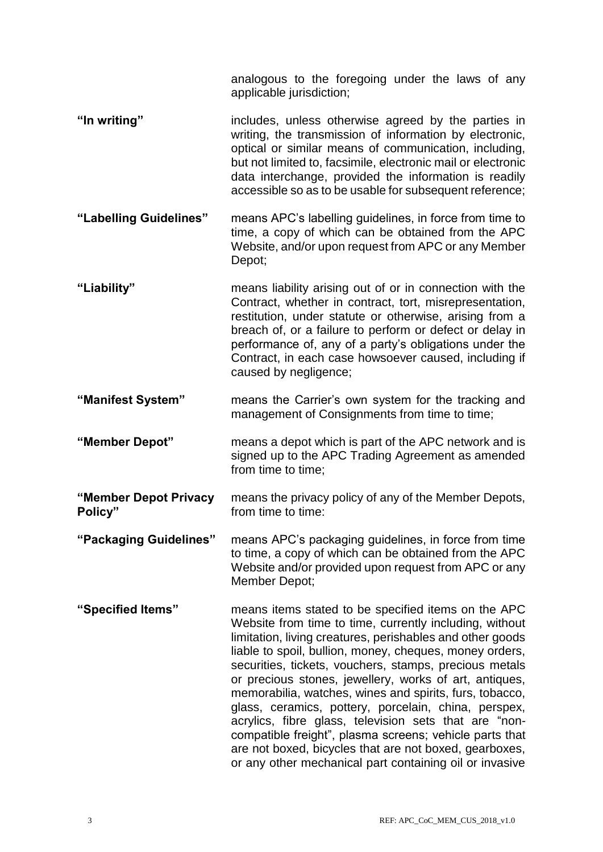analogous to the foregoing under the laws of any applicable jurisdiction;

- **"In writing"** includes, unless otherwise agreed by the parties in writing, the transmission of information by electronic, optical or similar means of communication, including, but not limited to, facsimile, electronic mail or electronic data interchange, provided the information is readily accessible so as to be usable for subsequent reference;
- **"Labelling Guidelines"** means APC's labelling guidelines, in force from time to time, a copy of which can be obtained from the APC Website, and/or upon request from APC or any Member Depot;
- **"Liability"** means liability arising out of or in connection with the Contract, whether in contract, tort, misrepresentation, restitution, under statute or otherwise, arising from a breach of, or a failure to perform or defect or delay in performance of, any of a party's obligations under the Contract, in each case howsoever caused, including if caused by negligence;
- **"Manifest System"** means the Carrier's own system for the tracking and management of Consignments from time to time;
- **"Member Depot"** means a depot which is part of the APC network and is signed up to the APC Trading Agreement as amended from time to time;
- **"Member Depot Privacy Policy"** means the privacy policy of any of the Member Depots, from time to time:
- **"Packaging Guidelines"** means APC's packaging guidelines, in force from time to time, a copy of which can be obtained from the APC Website and/or provided upon request from APC or any Member Depot;
- **"Specified Items"** means items stated to be specified items on the APC Website from time to time, currently including, without limitation, living creatures, perishables and other goods liable to spoil, bullion, money, cheques, money orders, securities, tickets, vouchers, stamps, precious metals or precious stones, jewellery, works of art, antiques, memorabilia, watches, wines and spirits, furs, tobacco, glass, ceramics, pottery, porcelain, china, perspex, acrylics, fibre glass, television sets that are "noncompatible freight", plasma screens; vehicle parts that are not boxed, bicycles that are not boxed, gearboxes, or any other mechanical part containing oil or invasive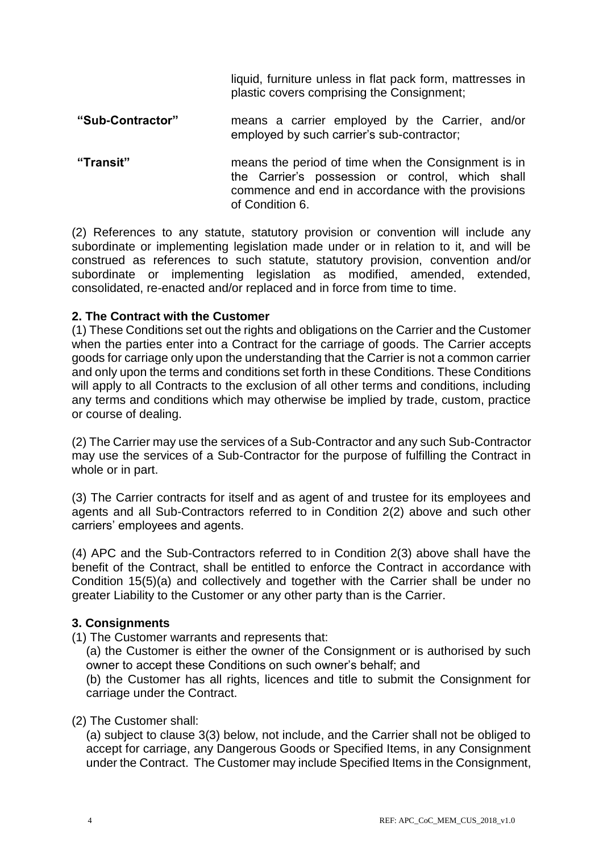liquid, furniture unless in flat pack form, mattresses in plastic covers comprising the Consignment;

- **"Sub-Contractor"** means a carrier employed by the Carrier, and/or employed by such carrier's sub-contractor;
- **"Transit"** means the period of time when the Consignment is in the Carrier's possession or control, which shall commence and end in accordance with the provisions of Condition 6.

(2) References to any statute, statutory provision or convention will include any subordinate or implementing legislation made under or in relation to it, and will be construed as references to such statute, statutory provision, convention and/or subordinate or implementing legislation as modified, amended, extended, consolidated, re-enacted and/or replaced and in force from time to time.

#### **2. The Contract with the Customer**

(1) These Conditions set out the rights and obligations on the Carrier and the Customer when the parties enter into a Contract for the carriage of goods. The Carrier accepts goods for carriage only upon the understanding that the Carrier is not a common carrier and only upon the terms and conditions set forth in these Conditions. These Conditions will apply to all Contracts to the exclusion of all other terms and conditions, including any terms and conditions which may otherwise be implied by trade, custom, practice or course of dealing.

(2) The Carrier may use the services of a Sub-Contractor and any such Sub-Contractor may use the services of a Sub-Contractor for the purpose of fulfilling the Contract in whole or in part.

(3) The Carrier contracts for itself and as agent of and trustee for its employees and agents and all Sub-Contractors referred to in Condition 2(2) above and such other carriers' employees and agents.

(4) APC and the Sub-Contractors referred to in Condition 2(3) above shall have the benefit of the Contract, shall be entitled to enforce the Contract in accordance with Condition 15(5)(a) and collectively and together with the Carrier shall be under no greater Liability to the Customer or any other party than is the Carrier.

#### **3. Consignments**

(1) The Customer warrants and represents that:

(a) the Customer is either the owner of the Consignment or is authorised by such owner to accept these Conditions on such owner's behalf; and

(b) the Customer has all rights, licences and title to submit the Consignment for carriage under the Contract.

(2) The Customer shall:

(a) subject to clause 3(3) below, not include, and the Carrier shall not be obliged to accept for carriage, any Dangerous Goods or Specified Items, in any Consignment under the Contract. The Customer may include Specified Items in the Consignment,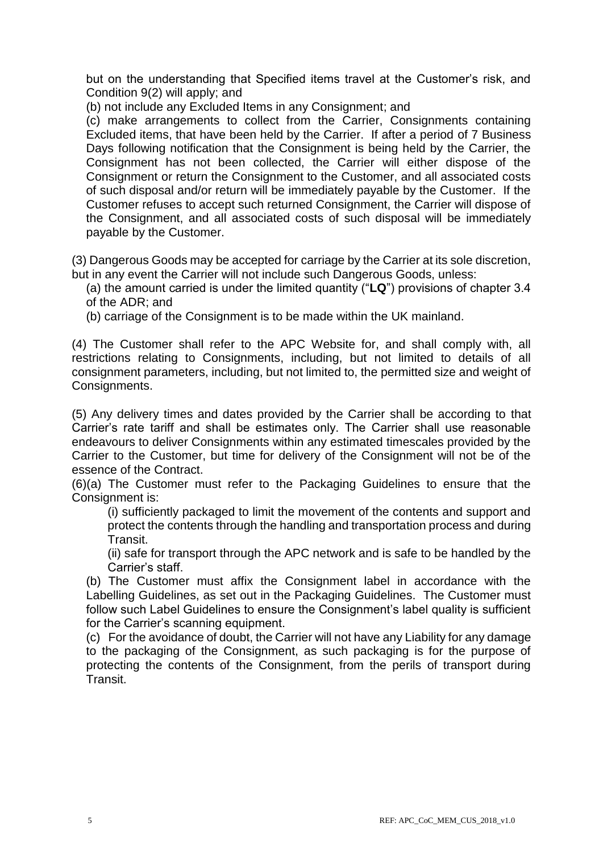but on the understanding that Specified items travel at the Customer's risk, and Condition 9(2) will apply; and

(b) not include any Excluded Items in any Consignment; and

(c) make arrangements to collect from the Carrier, Consignments containing Excluded items, that have been held by the Carrier. If after a period of 7 Business Days following notification that the Consignment is being held by the Carrier, the Consignment has not been collected, the Carrier will either dispose of the Consignment or return the Consignment to the Customer, and all associated costs of such disposal and/or return will be immediately payable by the Customer. If the Customer refuses to accept such returned Consignment, the Carrier will dispose of the Consignment, and all associated costs of such disposal will be immediately payable by the Customer.

(3) Dangerous Goods may be accepted for carriage by the Carrier at its sole discretion, but in any event the Carrier will not include such Dangerous Goods, unless:

(a) the amount carried is under the limited quantity ("**LQ**") provisions of chapter 3.4 of the ADR; and

(b) carriage of the Consignment is to be made within the UK mainland.

(4) The Customer shall refer to the APC Website for, and shall comply with, all restrictions relating to Consignments, including, but not limited to details of all consignment parameters, including, but not limited to, the permitted size and weight of Consignments.

(5) Any delivery times and dates provided by the Carrier shall be according to that Carrier's rate tariff and shall be estimates only. The Carrier shall use reasonable endeavours to deliver Consignments within any estimated timescales provided by the Carrier to the Customer, but time for delivery of the Consignment will not be of the essence of the Contract.

(6)(a) The Customer must refer to the Packaging Guidelines to ensure that the Consignment is:

(i) sufficiently packaged to limit the movement of the contents and support and protect the contents through the handling and transportation process and during Transit.

(ii) safe for transport through the APC network and is safe to be handled by the Carrier's staff.

(b) The Customer must affix the Consignment label in accordance with the Labelling Guidelines, as set out in the Packaging Guidelines. The Customer must follow such Label Guidelines to ensure the Consignment's label quality is sufficient for the Carrier's scanning equipment.

(c) For the avoidance of doubt, the Carrier will not have any Liability for any damage to the packaging of the Consignment, as such packaging is for the purpose of protecting the contents of the Consignment, from the perils of transport during Transit.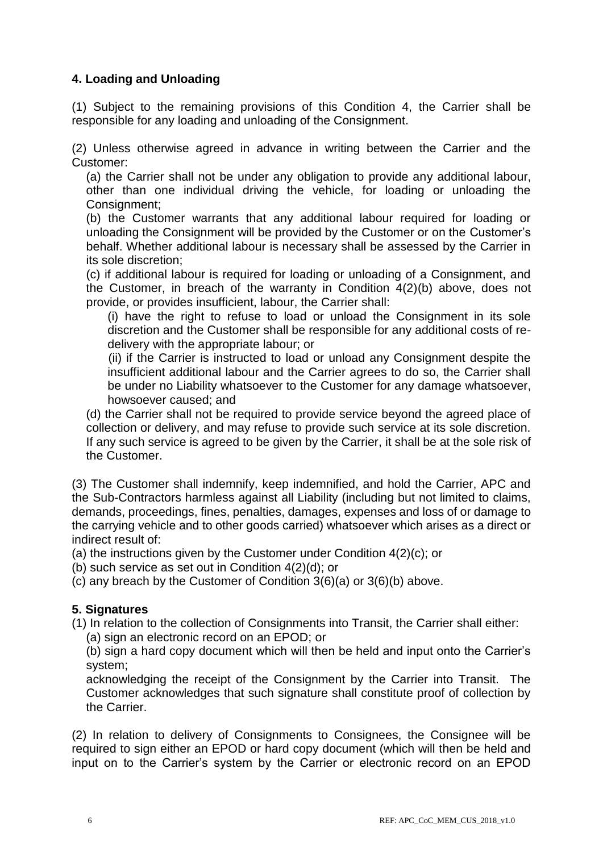# **4. Loading and Unloading**

(1) Subject to the remaining provisions of this Condition 4, the Carrier shall be responsible for any loading and unloading of the Consignment.

(2) Unless otherwise agreed in advance in writing between the Carrier and the Customer:

(a) the Carrier shall not be under any obligation to provide any additional labour, other than one individual driving the vehicle, for loading or unloading the Consignment;

(b) the Customer warrants that any additional labour required for loading or unloading the Consignment will be provided by the Customer or on the Customer's behalf. Whether additional labour is necessary shall be assessed by the Carrier in its sole discretion;

(c) if additional labour is required for loading or unloading of a Consignment, and the Customer, in breach of the warranty in Condition 4(2)(b) above, does not provide, or provides insufficient, labour, the Carrier shall:

(i) have the right to refuse to load or unload the Consignment in its sole discretion and the Customer shall be responsible for any additional costs of redelivery with the appropriate labour; or

(ii) if the Carrier is instructed to load or unload any Consignment despite the insufficient additional labour and the Carrier agrees to do so, the Carrier shall be under no Liability whatsoever to the Customer for any damage whatsoever, howsoever caused; and

(d) the Carrier shall not be required to provide service beyond the agreed place of collection or delivery, and may refuse to provide such service at its sole discretion. If any such service is agreed to be given by the Carrier, it shall be at the sole risk of the Customer.

(3) The Customer shall indemnify, keep indemnified, and hold the Carrier, APC and the Sub-Contractors harmless against all Liability (including but not limited to claims, demands, proceedings, fines, penalties, damages, expenses and loss of or damage to the carrying vehicle and to other goods carried) whatsoever which arises as a direct or indirect result of:

(a) the instructions given by the Customer under Condition 4(2)(c); or

(b) such service as set out in Condition 4(2)(d); or

(c) any breach by the Customer of Condition 3(6)(a) or 3(6)(b) above.

# **5. Signatures**

(1) In relation to the collection of Consignments into Transit, the Carrier shall either: (a) sign an electronic record on an EPOD; or

(b) sign a hard copy document which will then be held and input onto the Carrier's system;

acknowledging the receipt of the Consignment by the Carrier into Transit. The Customer acknowledges that such signature shall constitute proof of collection by the Carrier.

(2) In relation to delivery of Consignments to Consignees, the Consignee will be required to sign either an EPOD or hard copy document (which will then be held and input on to the Carrier's system by the Carrier or electronic record on an EPOD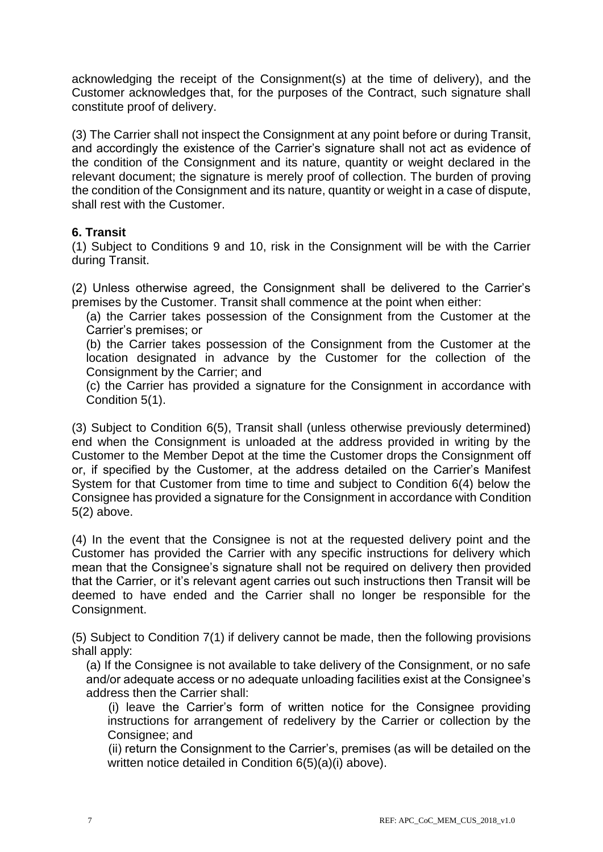acknowledging the receipt of the Consignment(s) at the time of delivery), and the Customer acknowledges that, for the purposes of the Contract, such signature shall constitute proof of delivery.

(3) The Carrier shall not inspect the Consignment at any point before or during Transit, and accordingly the existence of the Carrier's signature shall not act as evidence of the condition of the Consignment and its nature, quantity or weight declared in the relevant document; the signature is merely proof of collection. The burden of proving the condition of the Consignment and its nature, quantity or weight in a case of dispute, shall rest with the Customer.

### **6. Transit**

(1) Subject to Conditions 9 and 10, risk in the Consignment will be with the Carrier during Transit.

(2) Unless otherwise agreed, the Consignment shall be delivered to the Carrier's premises by the Customer. Transit shall commence at the point when either:

(a) the Carrier takes possession of the Consignment from the Customer at the Carrier's premises; or

(b) the Carrier takes possession of the Consignment from the Customer at the location designated in advance by the Customer for the collection of the Consignment by the Carrier; and

(c) the Carrier has provided a signature for the Consignment in accordance with Condition 5(1).

(3) Subject to Condition 6(5), Transit shall (unless otherwise previously determined) end when the Consignment is unloaded at the address provided in writing by the Customer to the Member Depot at the time the Customer drops the Consignment off or, if specified by the Customer, at the address detailed on the Carrier's Manifest System for that Customer from time to time and subject to Condition 6(4) below the Consignee has provided a signature for the Consignment in accordance with Condition 5(2) above.

(4) In the event that the Consignee is not at the requested delivery point and the Customer has provided the Carrier with any specific instructions for delivery which mean that the Consignee's signature shall not be required on delivery then provided that the Carrier, or it's relevant agent carries out such instructions then Transit will be deemed to have ended and the Carrier shall no longer be responsible for the Consignment.

(5) Subject to Condition 7(1) if delivery cannot be made, then the following provisions shall apply:

(a) If the Consignee is not available to take delivery of the Consignment, or no safe and/or adequate access or no adequate unloading facilities exist at the Consignee's address then the Carrier shall:

(i) leave the Carrier's form of written notice for the Consignee providing instructions for arrangement of redelivery by the Carrier or collection by the Consignee; and

(ii) return the Consignment to the Carrier's, premises (as will be detailed on the written notice detailed in Condition 6(5)(a)(i) above).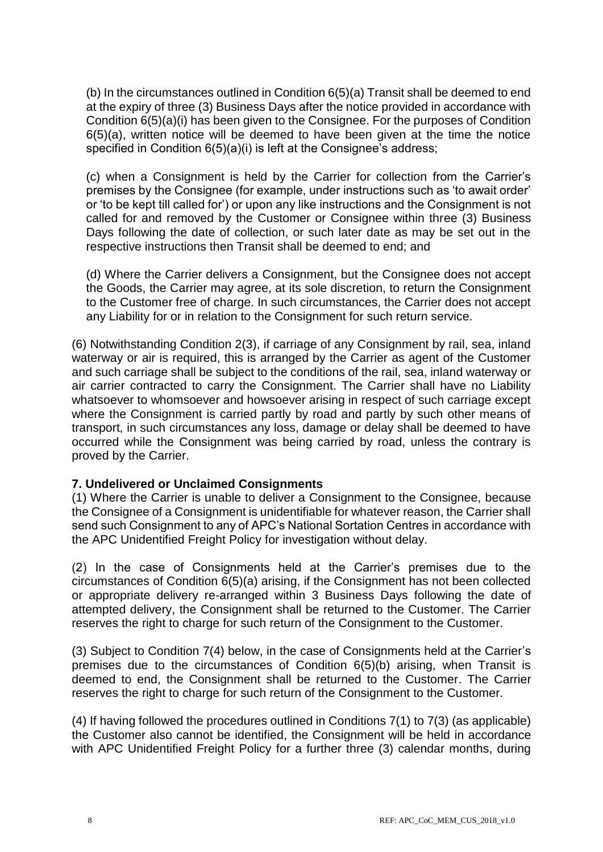(b) In the circumstances outlined in Condition 6(5)(a) Transit shall be deemed to end at the expiry of three (3) Business Days after the notice provided in accordance with Condition 6(5)(a)(i) has been given to the Consignee. For the purposes of Condition 6(5)(a), written notice will be deemed to have been given at the time the notice specified in Condition 6(5)(a)(i) is left at the Consignee's address;

(c) when a Consignment is held by the Carrier for collection from the Carrier's premises by the Consignee (for example, under instructions such as 'to await order' or 'to be kept till called for') or upon any like instructions and the Consignment is not called for and removed by the Customer or Consignee within three (3) Business Days following the date of collection, or such later date as may be set out in the respective instructions then Transit shall be deemed to end; and

(d) Where the Carrier delivers a Consignment, but the Consignee does not accept the Goods, the Carrier may agree, at its sole discretion, to return the Consignment to the Customer free of charge. In such circumstances, the Carrier does not accept any Liability for or in relation to the Consignment for such return service.

(6) Notwithstanding Condition 2(3), if carriage of any Consignment by rail, sea, inland waterway or air is required, this is arranged by the Carrier as agent of the Customer and such carriage shall be subject to the conditions of the rail, sea, inland waterway or air carrier contracted to carry the Consignment. The Carrier shall have no Liability whatsoever to whomsoever and howsoever arising in respect of such carriage except where the Consignment is carried partly by road and partly by such other means of transport, in such circumstances any loss, damage or delay shall be deemed to have occurred while the Consignment was being carried by road, unless the contrary is proved by the Carrier.

#### **7. Undelivered or Unclaimed Consignments**

(1) Where the Carrier is unable to deliver a Consignment to the Consignee, because the Consignee of a Consignment is unidentifiable for whatever reason, the Carrier shall send such Consignment to any of APC's National Sortation Centres in accordance with the APC Unidentified Freight Policy for investigation without delay.

(2) In the case of Consignments held at the Carrier's premises due to the circumstances of Condition 6(5)(a) arising, if the Consignment has not been collected or appropriate delivery re-arranged within 3 Business Days following the date of attempted delivery, the Consignment shall be returned to the Customer. The Carrier reserves the right to charge for such return of the Consignment to the Customer.

(3) Subject to Condition 7(4) below, in the case of Consignments held at the Carrier's premises due to the circumstances of Condition 6(5)(b) arising, when Transit is deemed to end, the Consignment shall be returned to the Customer. The Carrier reserves the right to charge for such return of the Consignment to the Customer.

(4) If having followed the procedures outlined in Conditions 7(1) to 7(3) (as applicable) the Customer also cannot be identified, the Consignment will be held in accordance with APC Unidentified Freight Policy for a further three (3) calendar months, during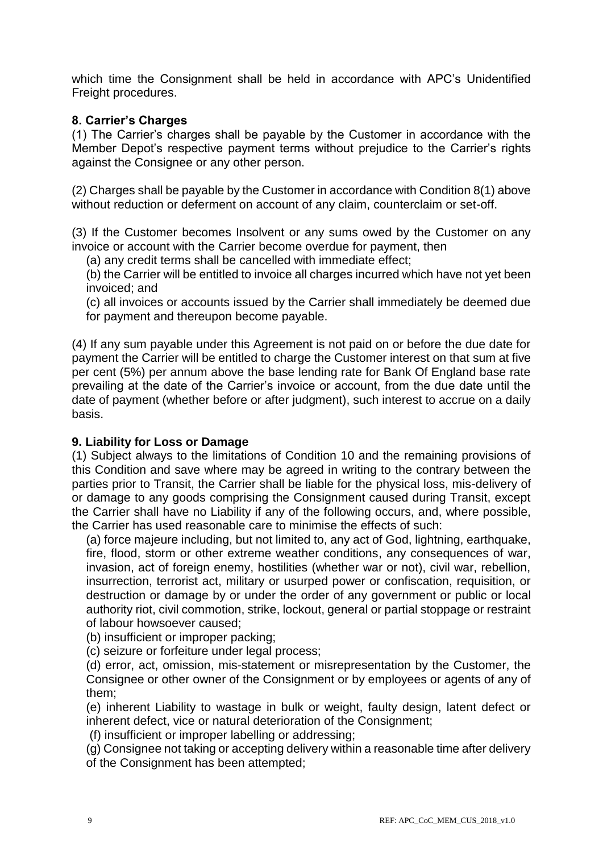which time the Consignment shall be held in accordance with APC's Unidentified Freight procedures.

### **8. Carrier's Charges**

(1) The Carrier's charges shall be payable by the Customer in accordance with the Member Depot's respective payment terms without prejudice to the Carrier's rights against the Consignee or any other person.

(2) Charges shall be payable by the Customer in accordance with Condition 8(1) above without reduction or deferment on account of any claim, counterclaim or set-off.

(3) If the Customer becomes Insolvent or any sums owed by the Customer on any invoice or account with the Carrier become overdue for payment, then

(a) any credit terms shall be cancelled with immediate effect;

(b) the Carrier will be entitled to invoice all charges incurred which have not yet been invoiced; and

(c) all invoices or accounts issued by the Carrier shall immediately be deemed due for payment and thereupon become payable.

(4) If any sum payable under this Agreement is not paid on or before the due date for payment the Carrier will be entitled to charge the Customer interest on that sum at five per cent (5%) per annum above the base lending rate for Bank Of England base rate prevailing at the date of the Carrier's invoice or account, from the due date until the date of payment (whether before or after judgment), such interest to accrue on a daily basis.

#### **9. Liability for Loss or Damage**

(1) Subject always to the limitations of Condition 10 and the remaining provisions of this Condition and save where may be agreed in writing to the contrary between the parties prior to Transit, the Carrier shall be liable for the physical loss, mis-delivery of or damage to any goods comprising the Consignment caused during Transit, except the Carrier shall have no Liability if any of the following occurs, and, where possible, the Carrier has used reasonable care to minimise the effects of such:

(a) force majeure including, but not limited to, any act of God, lightning, earthquake, fire, flood, storm or other extreme weather conditions, any consequences of war, invasion, act of foreign enemy, hostilities (whether war or not), civil war, rebellion, insurrection, terrorist act, military or usurped power or confiscation, requisition, or destruction or damage by or under the order of any government or public or local authority riot, civil commotion, strike, lockout, general or partial stoppage or restraint of labour howsoever caused;

(b) insufficient or improper packing;

(c) seizure or forfeiture under legal process;

(d) error, act, omission, mis-statement or misrepresentation by the Customer, the Consignee or other owner of the Consignment or by employees or agents of any of them;

(e) inherent Liability to wastage in bulk or weight, faulty design, latent defect or inherent defect, vice or natural deterioration of the Consignment;

(f) insufficient or improper labelling or addressing;

(g) Consignee not taking or accepting delivery within a reasonable time after delivery of the Consignment has been attempted;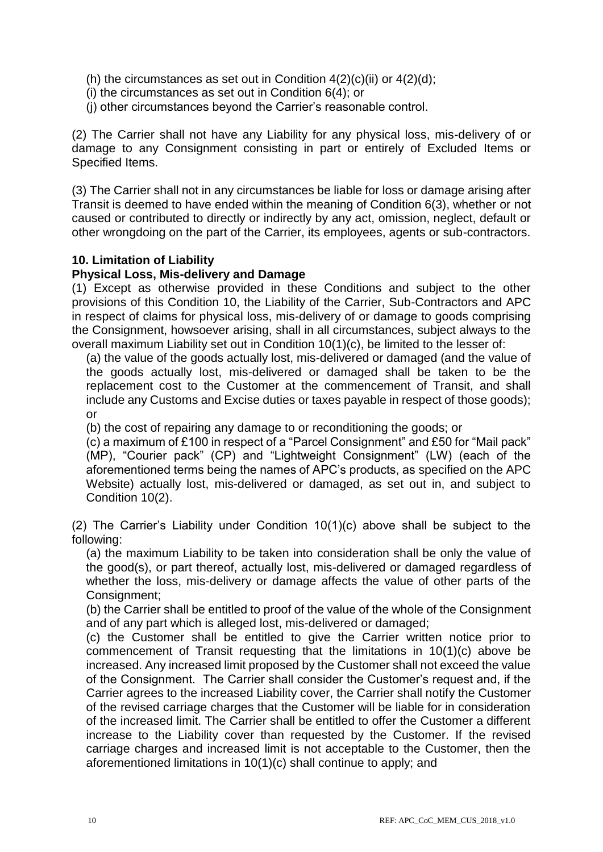- (h) the circumstances as set out in Condition  $4(2)(c)(ii)$  or  $4(2)(d)$ ;
- (i) the circumstances as set out in Condition 6(4); or
- (j) other circumstances beyond the Carrier's reasonable control.

(2) The Carrier shall not have any Liability for any physical loss, mis-delivery of or damage to any Consignment consisting in part or entirely of Excluded Items or Specified Items.

(3) The Carrier shall not in any circumstances be liable for loss or damage arising after Transit is deemed to have ended within the meaning of Condition 6(3), whether or not caused or contributed to directly or indirectly by any act, omission, neglect, default or other wrongdoing on the part of the Carrier, its employees, agents or sub-contractors.

### **10. Limitation of Liability**

#### **Physical Loss, Mis-delivery and Damage**

(1) Except as otherwise provided in these Conditions and subject to the other provisions of this Condition 10, the Liability of the Carrier, Sub-Contractors and APC in respect of claims for physical loss, mis-delivery of or damage to goods comprising the Consignment, howsoever arising, shall in all circumstances, subject always to the overall maximum Liability set out in Condition 10(1)(c), be limited to the lesser of:

(a) the value of the goods actually lost, mis-delivered or damaged (and the value of the goods actually lost, mis-delivered or damaged shall be taken to be the replacement cost to the Customer at the commencement of Transit, and shall include any Customs and Excise duties or taxes payable in respect of those goods); or

(b) the cost of repairing any damage to or reconditioning the goods; or

(c) a maximum of £100 in respect of a "Parcel Consignment" and £50 for "Mail pack" (MP), "Courier pack" (CP) and "Lightweight Consignment" (LW) (each of the aforementioned terms being the names of APC's products, as specified on the APC Website) actually lost, mis-delivered or damaged, as set out in, and subject to Condition 10(2).

(2) The Carrier's Liability under Condition 10(1)(c) above shall be subject to the following:

(a) the maximum Liability to be taken into consideration shall be only the value of the good(s), or part thereof, actually lost, mis-delivered or damaged regardless of whether the loss, mis-delivery or damage affects the value of other parts of the Consignment;

(b) the Carrier shall be entitled to proof of the value of the whole of the Consignment and of any part which is alleged lost, mis-delivered or damaged;

(c) the Customer shall be entitled to give the Carrier written notice prior to commencement of Transit requesting that the limitations in 10(1)(c) above be increased. Any increased limit proposed by the Customer shall not exceed the value of the Consignment. The Carrier shall consider the Customer's request and, if the Carrier agrees to the increased Liability cover, the Carrier shall notify the Customer of the revised carriage charges that the Customer will be liable for in consideration of the increased limit. The Carrier shall be entitled to offer the Customer a different increase to the Liability cover than requested by the Customer. If the revised carriage charges and increased limit is not acceptable to the Customer, then the aforementioned limitations in 10(1)(c) shall continue to apply; and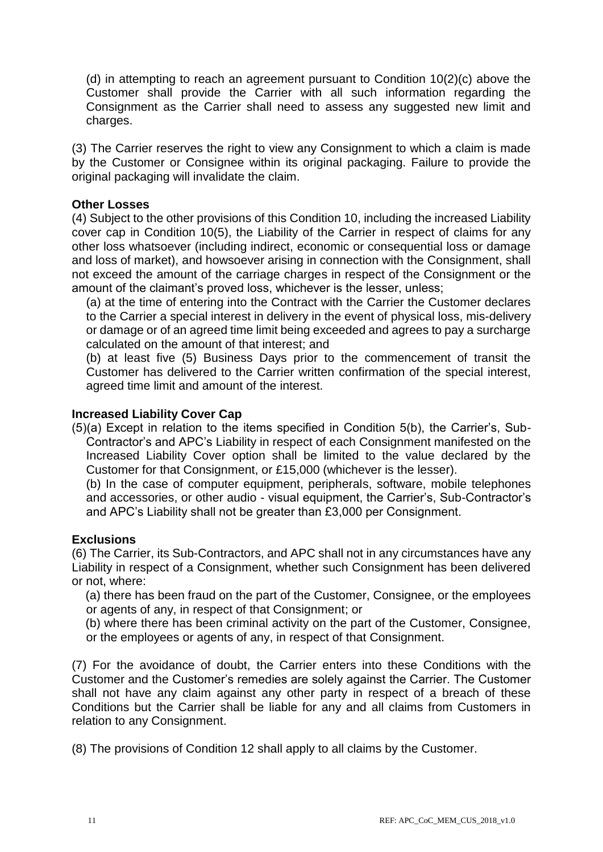(d) in attempting to reach an agreement pursuant to Condition 10(2)(c) above the Customer shall provide the Carrier with all such information regarding the Consignment as the Carrier shall need to assess any suggested new limit and charges.

(3) The Carrier reserves the right to view any Consignment to which a claim is made by the Customer or Consignee within its original packaging. Failure to provide the original packaging will invalidate the claim.

#### **Other Losses**

(4) Subject to the other provisions of this Condition 10, including the increased Liability cover cap in Condition 10(5), the Liability of the Carrier in respect of claims for any other loss whatsoever (including indirect, economic or consequential loss or damage and loss of market), and howsoever arising in connection with the Consignment, shall not exceed the amount of the carriage charges in respect of the Consignment or the amount of the claimant's proved loss, whichever is the lesser, unless;

(a) at the time of entering into the Contract with the Carrier the Customer declares to the Carrier a special interest in delivery in the event of physical loss, mis-delivery or damage or of an agreed time limit being exceeded and agrees to pay a surcharge calculated on the amount of that interest; and

(b) at least five (5) Business Days prior to the commencement of transit the Customer has delivered to the Carrier written confirmation of the special interest, agreed time limit and amount of the interest.

#### **Increased Liability Cover Cap**

(5)(a) Except in relation to the items specified in Condition 5(b), the Carrier's, Sub-Contractor's and APC's Liability in respect of each Consignment manifested on the Increased Liability Cover option shall be limited to the value declared by the Customer for that Consignment, or £15,000 (whichever is the lesser).

(b) In the case of computer equipment, peripherals, software, mobile telephones and accessories, or other audio - visual equipment, the Carrier's, Sub-Contractor's and APC's Liability shall not be greater than £3,000 per Consignment.

#### **Exclusions**

(6) The Carrier, its Sub-Contractors, and APC shall not in any circumstances have any Liability in respect of a Consignment, whether such Consignment has been delivered or not, where:

(a) there has been fraud on the part of the Customer, Consignee, or the employees or agents of any, in respect of that Consignment; or

(b) where there has been criminal activity on the part of the Customer, Consignee, or the employees or agents of any, in respect of that Consignment.

(7) For the avoidance of doubt, the Carrier enters into these Conditions with the Customer and the Customer's remedies are solely against the Carrier. The Customer shall not have any claim against any other party in respect of a breach of these Conditions but the Carrier shall be liable for any and all claims from Customers in relation to any Consignment.

(8) The provisions of Condition 12 shall apply to all claims by the Customer.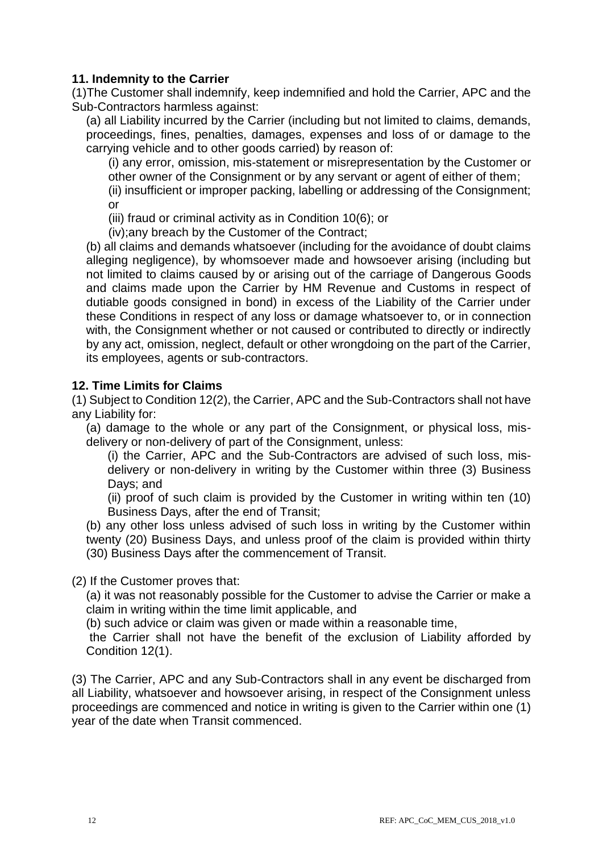### **11. Indemnity to the Carrier**

(1)The Customer shall indemnify, keep indemnified and hold the Carrier, APC and the Sub-Contractors harmless against:

(a) all Liability incurred by the Carrier (including but not limited to claims, demands, proceedings, fines, penalties, damages, expenses and loss of or damage to the carrying vehicle and to other goods carried) by reason of:

(i) any error, omission, mis-statement or misrepresentation by the Customer or other owner of the Consignment or by any servant or agent of either of them;

(ii) insufficient or improper packing, labelling or addressing of the Consignment; or

(iii) fraud or criminal activity as in Condition 10(6); or

(iv);any breach by the Customer of the Contract;

(b) all claims and demands whatsoever (including for the avoidance of doubt claims alleging negligence), by whomsoever made and howsoever arising (including but not limited to claims caused by or arising out of the carriage of Dangerous Goods and claims made upon the Carrier by HM Revenue and Customs in respect of dutiable goods consigned in bond) in excess of the Liability of the Carrier under these Conditions in respect of any loss or damage whatsoever to, or in connection with, the Consignment whether or not caused or contributed to directly or indirectly by any act, omission, neglect, default or other wrongdoing on the part of the Carrier, its employees, agents or sub-contractors.

#### **12. Time Limits for Claims**

(1) Subject to Condition 12(2), the Carrier, APC and the Sub-Contractors shall not have any Liability for:

(a) damage to the whole or any part of the Consignment, or physical loss, misdelivery or non-delivery of part of the Consignment, unless:

(i) the Carrier, APC and the Sub-Contractors are advised of such loss, misdelivery or non-delivery in writing by the Customer within three (3) Business Days; and

(ii) proof of such claim is provided by the Customer in writing within ten (10) Business Days, after the end of Transit;

(b) any other loss unless advised of such loss in writing by the Customer within twenty (20) Business Days, and unless proof of the claim is provided within thirty (30) Business Days after the commencement of Transit.

(2) If the Customer proves that:

(a) it was not reasonably possible for the Customer to advise the Carrier or make a claim in writing within the time limit applicable, and

(b) such advice or claim was given or made within a reasonable time,

the Carrier shall not have the benefit of the exclusion of Liability afforded by Condition 12(1).

(3) The Carrier, APC and any Sub-Contractors shall in any event be discharged from all Liability, whatsoever and howsoever arising, in respect of the Consignment unless proceedings are commenced and notice in writing is given to the Carrier within one (1) year of the date when Transit commenced.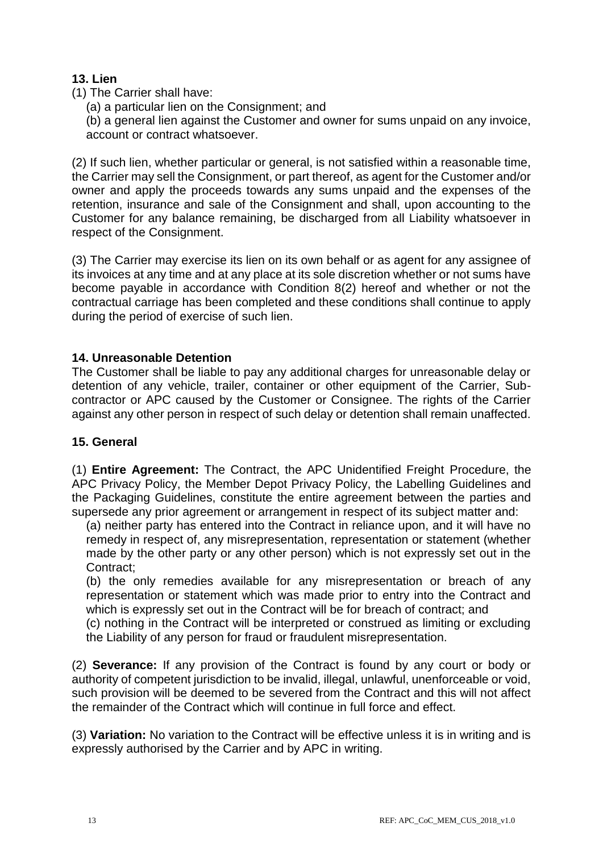# **13. Lien**

(1) The Carrier shall have:

(a) a particular lien on the Consignment; and

(b) a general lien against the Customer and owner for sums unpaid on any invoice, account or contract whatsoever.

(2) If such lien, whether particular or general, is not satisfied within a reasonable time, the Carrier may sell the Consignment, or part thereof, as agent for the Customer and/or owner and apply the proceeds towards any sums unpaid and the expenses of the retention, insurance and sale of the Consignment and shall, upon accounting to the Customer for any balance remaining, be discharged from all Liability whatsoever in respect of the Consignment.

(3) The Carrier may exercise its lien on its own behalf or as agent for any assignee of its invoices at any time and at any place at its sole discretion whether or not sums have become payable in accordance with Condition 8(2) hereof and whether or not the contractual carriage has been completed and these conditions shall continue to apply during the period of exercise of such lien.

# **14. Unreasonable Detention**

The Customer shall be liable to pay any additional charges for unreasonable delay or detention of any vehicle, trailer, container or other equipment of the Carrier, Subcontractor or APC caused by the Customer or Consignee. The rights of the Carrier against any other person in respect of such delay or detention shall remain unaffected.

# **15. General**

(1) **Entire Agreement:** The Contract, the APC Unidentified Freight Procedure, the APC Privacy Policy, the Member Depot Privacy Policy, the Labelling Guidelines and the Packaging Guidelines, constitute the entire agreement between the parties and supersede any prior agreement or arrangement in respect of its subject matter and:

(a) neither party has entered into the Contract in reliance upon, and it will have no remedy in respect of, any misrepresentation, representation or statement (whether made by the other party or any other person) which is not expressly set out in the Contract;

(b) the only remedies available for any misrepresentation or breach of any representation or statement which was made prior to entry into the Contract and which is expressly set out in the Contract will be for breach of contract; and

(c) nothing in the Contract will be interpreted or construed as limiting or excluding the Liability of any person for fraud or fraudulent misrepresentation.

(2) **Severance:** If any provision of the Contract is found by any court or body or authority of competent jurisdiction to be invalid, illegal, unlawful, unenforceable or void, such provision will be deemed to be severed from the Contract and this will not affect the remainder of the Contract which will continue in full force and effect.

(3) **Variation:** No variation to the Contract will be effective unless it is in writing and is expressly authorised by the Carrier and by APC in writing.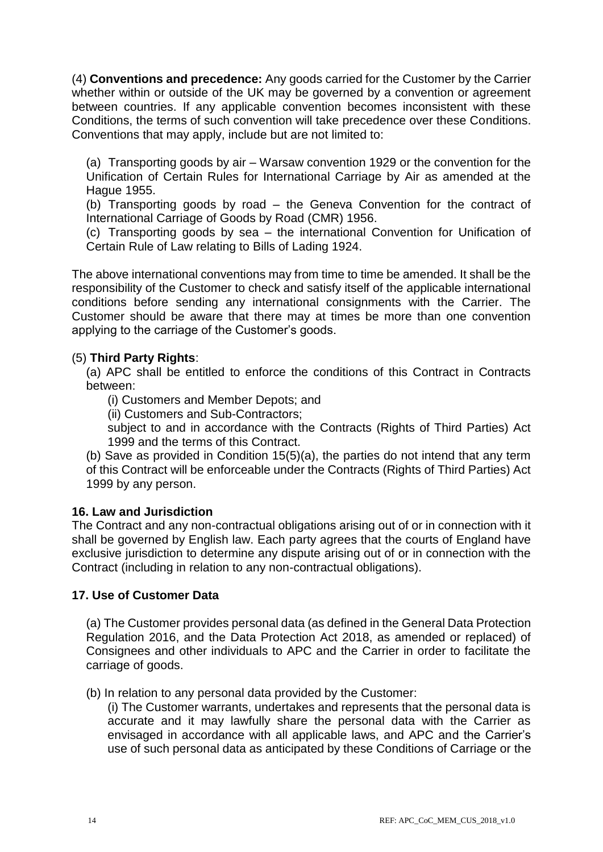(4) **Conventions and precedence:** Any goods carried for the Customer by the Carrier whether within or outside of the UK may be governed by a convention or agreement between countries. If any applicable convention becomes inconsistent with these Conditions, the terms of such convention will take precedence over these Conditions. Conventions that may apply, include but are not limited to:

(a) Transporting goods by air – Warsaw convention 1929 or the convention for the Unification of Certain Rules for International Carriage by Air as amended at the Hague 1955.

(b) Transporting goods by road – the Geneva Convention for the contract of International Carriage of Goods by Road (CMR) 1956.

(c) Transporting goods by sea – the international Convention for Unification of Certain Rule of Law relating to Bills of Lading 1924.

The above international conventions may from time to time be amended. It shall be the responsibility of the Customer to check and satisfy itself of the applicable international conditions before sending any international consignments with the Carrier. The Customer should be aware that there may at times be more than one convention applying to the carriage of the Customer's goods.

### (5) **Third Party Rights**:

(a) APC shall be entitled to enforce the conditions of this Contract in Contracts between:

(i) Customers and Member Depots; and

(ii) Customers and Sub-Contractors;

subject to and in accordance with the Contracts (Rights of Third Parties) Act 1999 and the terms of this Contract.

(b) Save as provided in Condition 15(5)(a), the parties do not intend that any term of this Contract will be enforceable under the Contracts (Rights of Third Parties) Act 1999 by any person.

#### **16. Law and Jurisdiction**

The Contract and any non-contractual obligations arising out of or in connection with it shall be governed by English law. Each party agrees that the courts of England have exclusive jurisdiction to determine any dispute arising out of or in connection with the Contract (including in relation to any non-contractual obligations).

# **17. Use of Customer Data**

(a) The Customer provides personal data (as defined in the General Data Protection Regulation 2016, and the Data Protection Act 2018, as amended or replaced) of Consignees and other individuals to APC and the Carrier in order to facilitate the carriage of goods.

(b) In relation to any personal data provided by the Customer:

(i) The Customer warrants, undertakes and represents that the personal data is accurate and it may lawfully share the personal data with the Carrier as envisaged in accordance with all applicable laws, and APC and the Carrier's use of such personal data as anticipated by these Conditions of Carriage or the